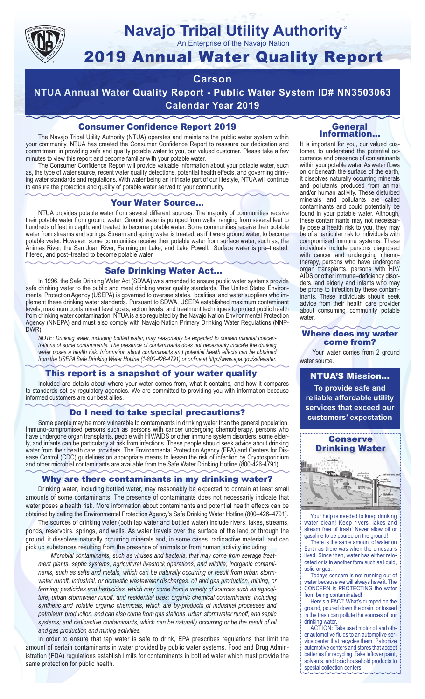

# **Navajo Tribal Utility Authority**

An Enterprise of the Navajo Nation

## 2019 Annual Water Quality Report

## **Carson**

**NTUA Annual Water Quality Report - Public Water System ID# NN3503063 Calendar Year 2019**

## Consumer Confidence Report 2019

The Navajo Tribal Utility Authority (NTUA) operates and maintains the public water system within your community. NTUA has created the Consumer Confidence Report to reassure our dedication and commitment in providing safe and quality potable water to you, our valued customer. Please take a few minutes to view this report and become familiar with your potable water.

The Consumer Confidence Report will provide valuable information about your potable water, such as, the type of water source, recent water quality detections, potential health effects, and governing drinking water standards and regulations. With water being an intricate part of our lifestyle, NTUA will continue to ensure the protection and quality of potable water served to your community.

#### Your Water Source…

NTUA provides potable water from several different sources. The majority of communities receive their potable water from ground water. Ground water is pumped from wells, ranging from several feet to hundreds of feet in depth, and treated to become potable water. Some communities receive their potable water from streams and springs. Stream and spring water is treated, as if it were ground water, to become potable water. However, some communities receive their potable water from surface water, such as, the Animas River, the San Juan River, Farmington Lake, and Lake Powell. Surface water is pre–treated, filtered, and post–treated to become potable water.

#### Safe Drinking Water Act…

In 1996, the Safe Drinking Water Act (SDWA) was amended to ensure public water systems provide safe drinking water to the public and meet drinking water quality standards. The United States Environmental Protection Agency (USEPA) is governed to oversee states, localities, and water suppliers who implement these drinking water standards. Pursuant to SDWA, USEPA established maximum contaminant levels, maximum contaminant level goals, action levels, and treatment techniques to protect public health from drinking water contamination. NTUA is also regulated by the Navajo Nation Environmental Protection Agency (NNEPA) and must also comply with Navajo Nation Primary Drinking Water Regulations (NNP-DWR)

*NOTE: Drinking water, including bottled water, may reasonably be expected to contain minimal concentrations of some contaminants. The presence of contaminants does not necessarily indicate the drinking water poses a health risk. Information about contaminants and potential health effects can be obtained from the USEPA Safe Drinking Water Hotline (1-800-426-4791) or online at http://www.epa.gov/safewater.*

## This report is a snapshot of your water quality

Included are details about where your water comes from, what it contains, and how it compares to standards set by regulatory agencies. We are committed to providing you with information because informed customers are our best allies.

### Do I need to take special precautions?

Some people may be more vulnerable to contaminants in drinking water than the general population. Immuno-compromised persons such as persons with cancer undergoing chemotherapy, persons who have undergone organ transplants, people with HIV/AIDS or other immune system disorders, some elderly, and infants can be particularly at risk from infections. These people should seek advice about drinking water from their health care providers. The Environmental Protection Agency (EPA) and Centers for Disease Control (CDC) guidelines on appropriate means to lessen the risk of infection by Cryptosporidium and other microbial contaminants are available from the Safe Water Drinking Hotline (800-426-4791).

## Why are there contaminants in my drinking water?

Drinking water, including bottled water, may reasonably be expected to contain at least small amounts of some contaminants. The presence of contaminants does not necessarily indicate that water poses a health risk. More information about contaminants and potential health effects can be obtained by calling the Environmental Protection Agency's Safe Drinking Water Hotline (800–426–4791).

The sources of drinking water (both tap water and bottled water) include rivers, lakes, streams, ponds, reservoirs, springs, and wells. As water travels over the surface of the land or through the ground, it dissolves naturally occurring minerals and, in some cases, radioactive material, and can pick up substances resulting from the presence of animals or from human activity including:

*Microbial contaminants, such as viruses and bacteria, that may come from sewage treatment plants, septic systems, agricultural livestock operations, and wildlife; inorganic contaminants, such as salts and metals, which can be naturally occurring or result from urban stormwater runoff, industrial, or domestic wastewater discharges, oil and gas production, mining, or farming; pesticides and herbicides, which may come from a variety of sources such as agriculture, urban stormwater runoff, and residential uses; organic chemical contaminants, including synthetic and volatile organic chemicals, which are by-products of industrial processes and petroleum production, and can also come from gas stations, urban stormwater runoff, and septic systems; and radioactive contaminants, which can be naturally occurring or be the result of oil and gas production and mining activities.*

In order to ensure that tap water is safe to drink, EPA prescribes regulations that limit the amount of certain contaminants in water provided by public water systems. Food and Drug Administration (FDA) regulations establish limits for contaminants in bottled water which must provide the same protection for public health.

#### General Information…

®

It is important for you, our valued customer, to understand the potential occurrence and presence of contaminants within your potable water. As water flows on or beneath the surface of the earth, it dissolves naturally occurring minerals and pollutants produced from animal and/or human activity. These disturbed minerals and pollutants are called contaminants and could potentially be found in your potable water. Although, these contaminants may not necessarily pose a health risk to you, they may be of a particular risk to individuals with compromised immune systems. These individuals include persons diagnosed with cancer and undergoing chemo-<br>therapy, persons who have undergone organ transplants, persons with HIV/ AIDS or other immune–deficiency disor- ders, and elderly and infants who may be prone to infection by these contam- inants. These individuals should seek advice from their health care provider about consuming community potable water.

#### Where does my water come from?

Your water comes from 2 ground water source.

NTUA'S Mission... **To provide safe and reliable affordable utility services that exceed our customers' expectation**



Your help is needed to keep drinking water clean! Keep rivers, lakes and stream free of trash! Never allow oil or gasoline to be poured on the ground!

There is the same amount of water on Earth as there was when the dinosaurs lived. Since then, water has either relocated or is in another form such as liquid, solid or gas.

Todays concern is not running out of water because we will always have it. The CONCERN is PROTECTING the water from being contaminated!

Here's a FACT: What's dumped on the ground, poured down the drain, or tossed in the trash can pollute the sources of our drinking water.

ACTION: Take used motor oil and other automotive fluids to an automotive service center that recycles them. Patronize automotive centers and stores that accept batteries for recycling. Take leftover paint, solvents, and toxic household products to special collection centers.